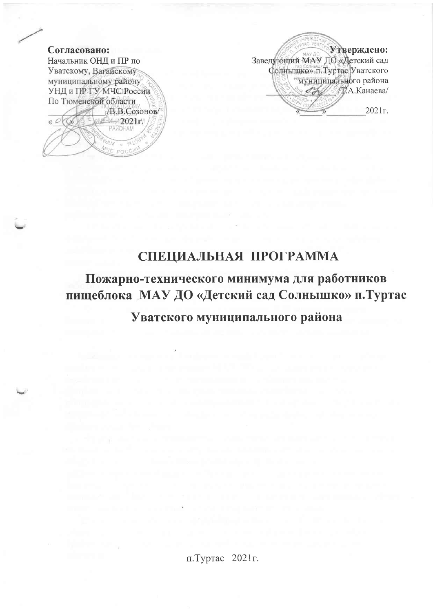

Утверждено: Заведующий МАУ ДО «Детский сад Солнышко» п. Туртас Уватского "муницицального района  $\mathscr{A}$  N.A.KaнaeBa  $2021<sub>0</sub>$ 

# СПЕЦИАЛЬНАЯ ПРОГРАММА

Пожарно-технического минимума для работников пищеблока МАУ ДО «Детский сад Солнышко» п. Туртас

Уватского муниципального района

п.Туртас 2021 г.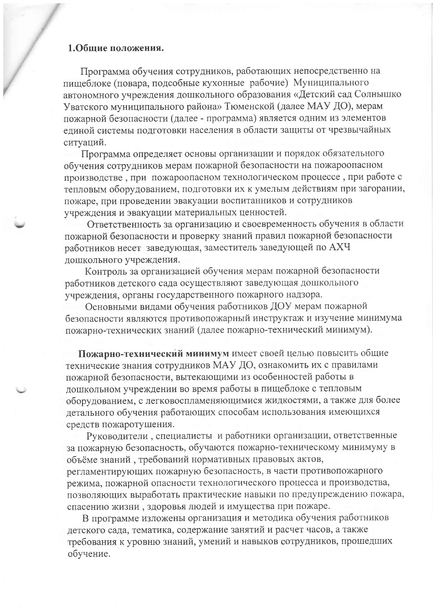### 1.Общие положения.

Программа обучения сотрудников, работающих непосредственно на пищеблоке (повара, подсобные кухонные рабочие) Муниципального автономного учреждения дошкольного образования «Детский сад Солнышко Уватского муниципального района» Тюменской (далее МАУ ДО), мерам пожарной безопасности (далее - программа) является одним из элементов единой системы подготовки населения в области защиты от чрезвычайных ситуаций.

Программа определяет основы организации и порядок обязательного обучения сотрудников мерам пожарной безопасности на пожароопасном производстве, при пожароопасном технологическом процессе, при работе с тепловым оборудованием, подготовки их к умелым действиям при загорании, пожаре, при проведении эвакуации воспитанников и сотрудников учреждения и эвакуации материальных ценностей.

Ответственность за организацию и своевременность обучения в области пожарной безопасности и проверку знаний правил пожарной безопасности работников несет заведующая, заместитель заведующей по АХЧ дошкольного учреждения.

Контроль за организацией обучения мерам пожарной безопасности работников детского сада осуществляют заведующая дошкольного учреждения, органы государственного пожарного надзора.

Основными видами обучения работников ДОУ мерам пожарной безопасности являются противопожарный инструктаж и изучение минимума пожарно-технических знаний (далее пожарно-технический минимум).

Пожарно-технический минимум имеет своей целью повысить общие технические знания сотрудников МАУ ДО, ознакомить их с правилами пожарной безопасности, вытекающими из особенностей работы в дошкольном учреждении во время работы в пищеблоке с тепловым оборудованием, с легковоспламеняющимися жидкостями, а также для более детального обучения работающих способам использования имеющихся средств пожаротушения.

Руководители, специалисты и работники организации, ответственные за пожарную безопасность, обучаются пожарно-техническому минимуму в объёме знаний, требований нормативных правовых актов, регламентирующих пожарную безопасность, в части противопожарного режима, пожарной опасности технологического процесса и производства, позволяющих выработать практические навыки по предупреждению пожара, спасению жизни, здоровья людей и имущества при пожаре.

В программе изложены организация и методика обучения работников детского сада, тематика, содержание занятий и расчет часов, а также требования к уровню знаний, умений и навыков сотрудников, прошедших обучение.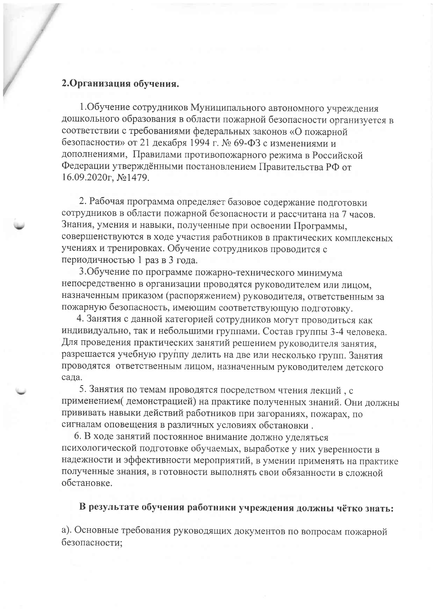## 2. Организация обучения.

1. Обучение сотрудников Муниципального автономного учреждения дошкольного образования в области пожарной безопасности организуется в соответствии с требованиями федеральных законов «О пожарной безопасности» от 21 декабря 1994 г. № 69-ФЗ с изменениями и дополнениями, Правилами противопожарного режима в Российской Федерации утверждёнными постановлением Правительства РФ от 16.09.2020г, №1479.

2. Рабочая программа определяет базовое содержание подготовки сотрудников в области пожарной безопасности и рассчитана на 7 часов. Знания, умения и навыки, полученные при освоении Программы, совершенствуются в ходе участия работников в практических комплексных учениях и тренировках. Обучение сотрудников проводится с периодичностью 1 раз в 3 года.

3. Обучение по программе пожарно-технического минимума непосредственно в организации проводятся руководителем или лицом, назначенным приказом (распоряжением) руководителя, ответственным за пожарную безопасность, имеющим соответствующую подготовку.

4. Занятия с данной категорией сотрудников могут проводиться как индивидуально, так и небольшими группами. Состав группы 3-4 человека. Для проведения практических занятий решением руководителя занятия, разрешается учебную группу делить на две или несколько групп. Занятия проводятся ответственным лицом, назначенным руководителем детского сада.

5. Занятия по темам проводятся посредством чтения лекций, с применением (демонстрацией) на практике полученных знаний. Они должны прививать навыки действий работников при загораниях, пожарах, по сигналам оповещения в различных условиях обстановки.

6. В ходе занятий постоянное внимание должно уделяться психологической подготовке обучаемых, выработке у них уверенности в надежности и эффективности мероприятий, в умении применять на практике полученные знания, в готовности выполнять свои обязанности в сложной обстановке.

## В результате обучения работники учреждения должны чётко знать:

а). Основные требования руководящих документов по вопросам пожарной безопасности;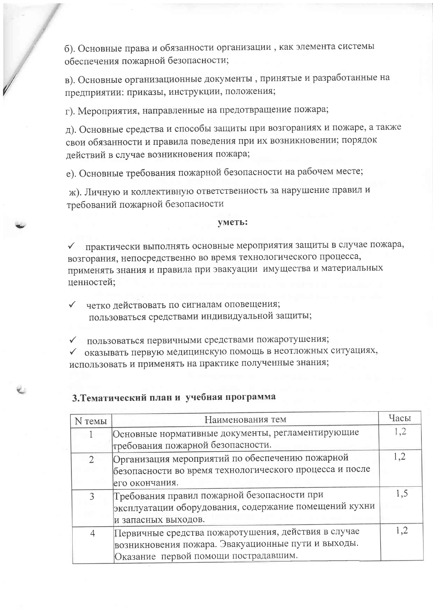б). Основные права и обязанности организации, как элемента системы обеспечения пожарной безопасности;

в). Основные организационные документы, принятые и разработанные на предприятии: приказы, инструкции, положения;

г). Мероприятия, направленные на предотвращение пожара;

д). Основные средства и способы защиты при возгораниях и пожаре, а также свои обязанности и правила поведения при их возникновении; порядок действий в случае возникновения пожара;

е). Основные требования пожарной безопасности на рабочем месте;

ж). Личную и коллективную ответственность за нарушение правил и требований пожарной безопасности

#### уметь:

практически выполнять основные мероприятия защиты в случае пожара,  $\checkmark$ возгорания, непосредственно во время технологического процесса, применять знания и правила при эвакуации имущества и материальных ценностей;

четко действовать по сигналам оповещения;  $\checkmark$ пользоваться средствами индивидуальной защиты;

• пользоваться первичными средствами пожаротушения;

• оказывать первую медицинскую помощь в неотложных ситуациях, использовать и применять на практике полученные знания;

## 3. Тематический план и учебная программа

| N темы         | Наименования тем                                                                                                                                  | Часы |
|----------------|---------------------------------------------------------------------------------------------------------------------------------------------------|------|
|                | Основные нормативные документы, регламентирующие<br>требования пожарной безопасности.                                                             | 1,2  |
| $\overline{2}$ | Организация мероприятий по обеспечению пожарной<br>безопасности во время технологического процесса и после<br>его окончания.                      | 1,2  |
| 3              | Требования правил пожарной безопасности при<br>эксплуатации оборудования, содержание помещений кухни<br>и запасных выходов.                       | 1,5  |
| $\overline{4}$ | Первичные средства пожаротушения, действия в случае<br>возникновения пожара. Эвакуационные пути и выходы.<br>Оказание первой помощи пострадавшим. | 1,2  |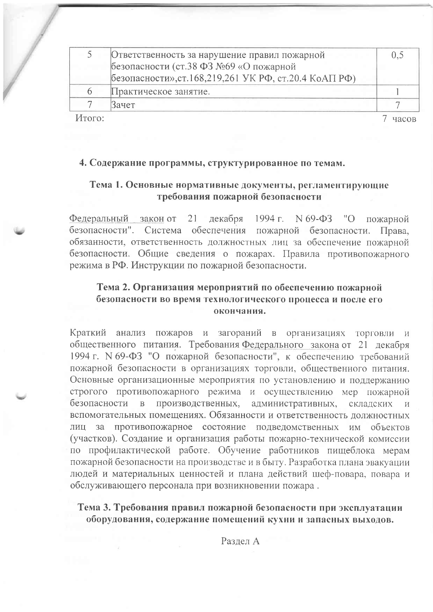|              | Ответственность за нарушение правил пожарной<br>безопасности (ст.38 ФЗ №69 «О пожарной<br>безопасности», ст. 168, 219, 261 УК РФ, ст. 20.4 КоАП РФ) | 0.5 |
|--------------|-----------------------------------------------------------------------------------------------------------------------------------------------------|-----|
| <sub>n</sub> | Практическое занятие.                                                                                                                               |     |
|              | Зачет                                                                                                                                               |     |
|              |                                                                                                                                                     |     |

Итого:

7 часов

### 4. Содержание программы, структурированное по темам.

## Тема 1. Основные нормативные документы, регламентирующие требования пожарной безопасности

декабря 1994 г. N 69-ФЗ "О Федеральный закон от 21 пожарной безопасности". Система обеспечения пожарной безопасности. Права. обязанности, ответственность должностных лиц за обеспечение пожарной безопасности. Общие сведения о пожарах. Правила противопожарного режима в РФ. Инструкции по пожарной безопасности.

## Тема 2. Организация мероприятий по обеспечению пожарной безопасности во время технологического процесса и после его окончания.

Краткий анализ пожаров и загораний в организациях торговли и общественного питания. Требования Федерального закона от 21 декабря 1994 г. N 69-ФЗ "О пожарной безопасности", к обеспечению требований пожарной безопасности в организациях торговли, общественного питания. Основные организационные мероприятия по установлению и поддержанию строгого противопожарного режима и осуществлению мер пожарной безопасности производственных. административных,  $\overline{B}$ складских  $\overline{M}$ вспомогательных помещениях. Обязанности и ответственность должностных противопожарное состояние подведомственных им объектов лиц за (участков). Создание и организация работы пожарно-технической комиссии по профилактической работе. Обучение работников пищеблока мерам пожарной безопасности на производстве и в быту. Разработка плана эвакуации людей и материальных ценностей и плана действий шеф-повара, повара и обслуживающего персонала при возникновении пожара.

Тема 3. Требования правил пожарной безопасности при эксплуатации оборудования, содержание помещений кухни и запасных выходов.

Разлел А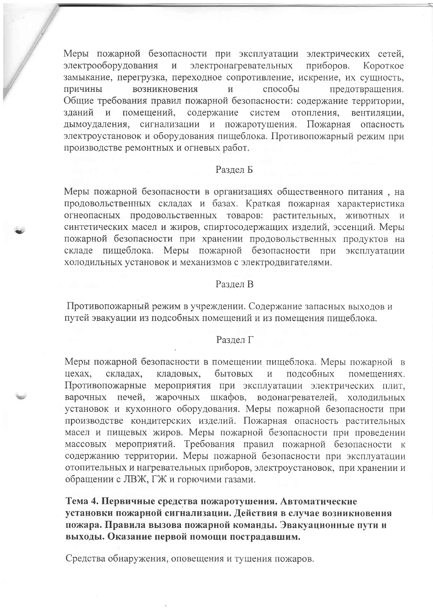Меры пожарной безопасности при эксплуатации электрических сетей, электрооборудования  $\mathbf{M}$ электронагревательных приборов. Короткое замыкание, перегрузка, переходное сопротивление, искрение, их сущность, возникновения предотвращения.  $\boldsymbol{\mathrm{M}}$ способы причины Общие требования правил пожарной безопасности: содержание территории, помещений, зданий и содержание систем отопления, вентиляции, дымоудаления, сигнализации и пожаротушения. Пожарная опасность электроустановок и оборудования пищеблока. Противопожарный режим при производстве ремонтных и огневых работ.

#### Раздел Б

Меры пожарной безопасности в организациях общественного питания, на продовольственных складах и базах. Краткая пожарная характеристика огнеопасных продовольственных товаров: растительных, животных и синтетических масел и жиров, спиртосодержащих изделий, эссенций. Меры пожарной безопасности при хранении продовольственных продуктов на складе пищеблока. Меры пожарной безопасности при эксплуатации холодильных установок и механизмов с электродвигателями.

#### Разлел В

Противопожарный режим в учреждении. Содержание запасных выходов и путей эвакуации из подсобных помещений и из помещения пищеблока.

### Раздел Г

Меры пожарной безопасности в помещении пищеблока. Меры пожарной в кладовых, бытовых подсобных цехах, складах, помещениях. Противопожарные мероприятия при эксплуатации электрических плит, жарочных шкафов, водонагревателей, холодильных варочных печей, установок и кухонного оборудования. Меры пожарной безопасности при производстве кондитерских изделий. Пожарная опасность растительных масел и пищевых жиров. Меры пожарной безопасности при проведении массовых мероприятий. Требования правил пожарной безопасности к содержанию территории. Меры пожарной безопасности при эксплуатации отопительных и нагревательных приборов, электроустановок, при хранении и обращении с ЛВЖ, ГЖ и горючими газами.

Тема 4. Первичные средства пожаротушения. Автоматические установки пожарной сигнализации. Действия в случае возникновения пожара. Правила вызова пожарной команды. Эвакуационные пути и выходы. Оказание первой помощи пострадавшим.

Средства обнаружения, оповещения и тушения пожаров.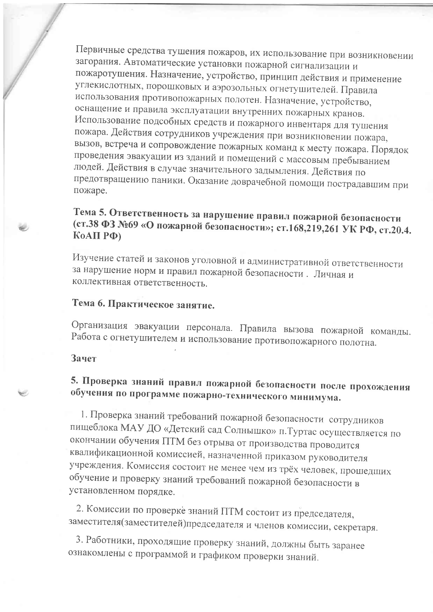Первичные средства тушения пожаров, их использование при возникновении загорания. Автоматические установки пожарной сигнализации и пожаротушения. Назначение, устройство, принцип действия и применение углекислотных, порошковых и аэрозольных огнетушителей. Правила использования противопожарных полотен. Назначение, устройство, оснащение и правила эксплуатации внутренних пожарных кранов. Использование подсобных средств и пожарного инвентаря для тушения пожара. Действия сотрудников учреждения при возникновении пожара, вызов, встреча и сопровождение пожарных команд к месту пожара. Порядок проведения эвакуации из зданий и помещений с массовым пребыванием людей. Действия в случае значительного задымления. Действия по предотвращению паники. Оказание доврачебной помощи пострадавшим при пожаре.

## Тема 5. Ответственность за нарушение правил пожарной безопасности (ст.38 ФЗ №69 «О пожарной безопасности»; ст.168,219,261 УК РФ, ст.20.4. Ко $A\Pi P\Phi$ )

Изучение статей и законов уголовной и административной ответственности за нарушение норм и правил пожарной безопасности. Личная и коллективная ответственность.

## Тема 6. Практическое занятие.

Организация эвакуации персонала. Правила вызова пожарной команды. Работа с огнетушителем и использование противопожарного полотна.

## Зачет

## 5. Проверка знаний правил пожарной безопасности после прохождения обучения по программе пожарно-технического минимума.

1. Проверка знаний требований пожарной безопасности сотрудников пищеблока МАУ ДО «Детский сад Солнышко» п. Туртас осуществляется по окончании обучения ПТМ без отрыва от производства проводится квалификационной комиссией, назначенной приказом руководителя учреждения. Комиссия состоит не менее чем из трёх человек, прошедших обучение и проверку знаний требований пожарной безопасности в установленном порядке.

2. Комиссии по проверке знаний ПТМ состоит из председателя, заместителя(заместителей)председателя и членов комиссии, секретаря.

3. Работники, проходящие проверку знаний, должны быть заранее ознакомлены с программой и графиком проверки знаний.